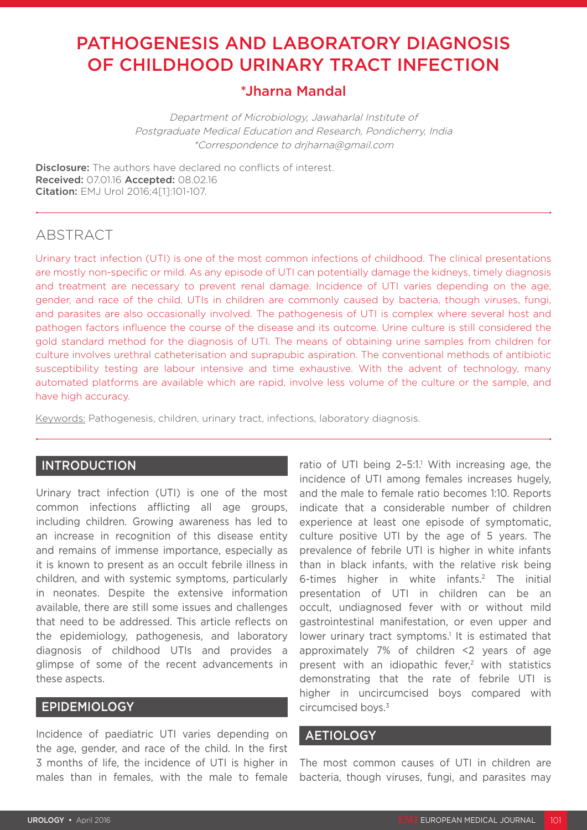# PATHOGENESIS AND LABORATORY DIAGNOSIS OF CHILDHOOD URINARY TRACT INFECTION

# \*Jharna Mandal

Department of Microbiology, Jawaharlal Institute of Postgraduate Medical Education and Research, Pondicherry, India \*Correspondence to drjharna@gmail.com

**Disclosure:** The authors have declared no conflicts of interest. Received: 07.01.16 Accepted: 08.02.16 Citation: EMJ Urol 2016;4[1]:101-107.

# ABSTRACT

Urinary tract infection (UTI) is one of the most common infections of childhood. The clinical presentations are mostly non-specific or mild. As any episode of UTI can potentially damage the kidneys, timely diagnosis and treatment are necessary to prevent renal damage. Incidence of UTI varies depending on the age, gender, and race of the child. UTIs in children are commonly caused by bacteria, though viruses, fungi, and parasites are also occasionally involved. The pathogenesis of UTI is complex where several host and pathogen factors influence the course of the disease and its outcome. Urine culture is still considered the gold standard method for the diagnosis of UTI. The means of obtaining urine samples from children for culture involves urethral catheterisation and suprapubic aspiration. The conventional methods of antibiotic susceptibility testing are labour intensive and time exhaustive. With the advent of technology, many automated platforms are available which are rapid, involve less volume of the culture or the sample, and have high accuracy.

Keywords: Pathogenesis, children, urinary tract, infections, laboratory diagnosis.

## INTRODUCTION

Urinary tract infection (UTI) is one of the most common infections afflicting all age groups, including children. Growing awareness has led to an increase in recognition of this disease entity and remains of immense importance, especially as it is known to present as an occult febrile illness in children, and with systemic symptoms, particularly in neonates. Despite the extensive information available, there are still some issues and challenges that need to be addressed. This article reflects on the epidemiology, pathogenesis, and laboratory diagnosis of childhood UTIs and provides a glimpse of some of the recent advancements in these aspects.

## EPIDEMIOLOGY

Incidence of paediatric UTI varies depending on the age, gender, and race of the child. In the first 3 months of life, the incidence of UTI is higher in males than in females, with the male to female

ratio of UTI being  $2-5:1$ .<sup>1</sup> With increasing age, the incidence of UTI among females increases hugely, and the male to female ratio becomes 1:10. Reports indicate that a considerable number of children experience at least one episode of symptomatic, culture positive UTI by the age of 5 years. The prevalence of febrile UTI is higher in white infants than in black infants, with the relative risk being 6-times higher in white infants.2 The initial presentation of UTI in children can be an occult, undiagnosed fever with or without mild gastrointestinal manifestation, or even upper and lower urinary tract symptoms.<sup>1</sup> It is estimated that approximately 7% of children <2 years of age present with an idiopathic fever,<sup>2</sup> with statistics demonstrating that the rate of febrile UTI is higher in uncircumcised boys compared with circumcised boys.3

#### AETIOLOGY

The most common causes of UTI in children are bacteria, though viruses, fungi, and parasites may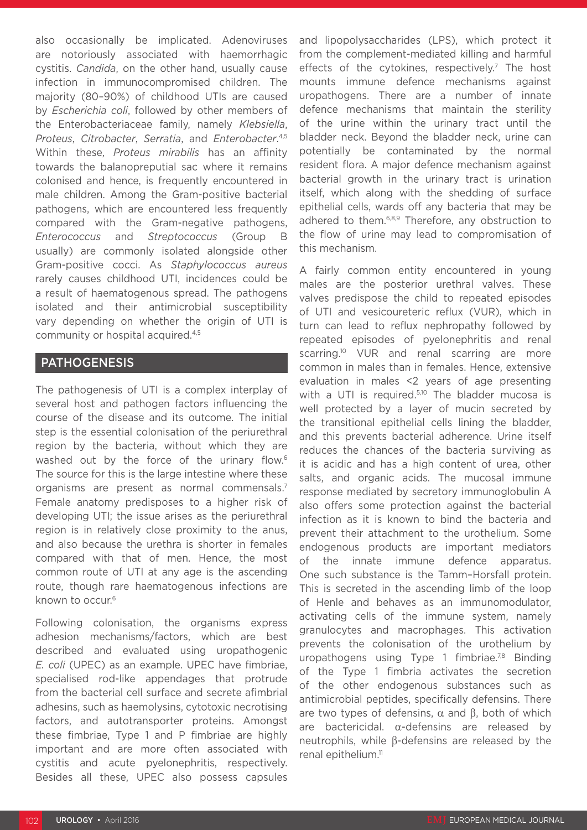also occasionally be implicated. Adenoviruses are notoriously associated with haemorrhagic cystitis. *Candida*, on the other hand, usually cause infection in immunocompromised children. The majority (80–90%) of childhood UTIs are caused by *Escherichia coli*, followed by other members of the Enterobacteriaceae family, namely *Klebsiella*, *Proteus*, *Citrobacter*, *Serratia*, and *Enterobacter*. 4,5 Within these, *Proteus mirabilis* has an affinity towards the balanopreputial sac where it remains colonised and hence, is frequently encountered in male children. Among the Gram-positive bacterial pathogens, which are encountered less frequently compared with the Gram-negative pathogens, *Enterococcus* and *Streptococcus* (Group B usually) are commonly isolated alongside other Gram-positive cocci. As *Staphylococcus aureus* rarely causes childhood UTI, incidences could be a result of haematogenous spread. The pathogens isolated and their antimicrobial susceptibility vary depending on whether the origin of UTI is community or hospital acquired.<sup>4,5</sup>

### PATHOGENESIS

The pathogenesis of UTI is a complex interplay of several host and pathogen factors influencing the course of the disease and its outcome. The initial step is the essential colonisation of the periurethral region by the bacteria, without which they are washed out by the force of the urinary flow.<sup>6</sup> The source for this is the large intestine where these organisms are present as normal commensals.7 Female anatomy predisposes to a higher risk of developing UTI; the issue arises as the periurethral region is in relatively close proximity to the anus, and also because the urethra is shorter in females compared with that of men. Hence, the most common route of UTI at any age is the ascending route, though rare haematogenous infections are known to occur.6

Following colonisation, the organisms express adhesion mechanisms/factors, which are best described and evaluated using uropathogenic *E. coli* (UPEC) as an example. UPEC have fimbriae, specialised rod-like appendages that protrude from the bacterial cell surface and secrete afimbrial adhesins, such as haemolysins, cytotoxic necrotising factors, and autotransporter proteins. Amongst these fimbriae, Type 1 and P fimbriae are highly important and are more often associated with cystitis and acute pyelonephritis, respectively. Besides all these, UPEC also possess capsules

and lipopolysaccharides (LPS), which protect it from the complement-mediated killing and harmful effects of the cytokines, respectively.<sup>7</sup> The host mounts immune defence mechanisms against uropathogens. There are a number of innate defence mechanisms that maintain the sterility of the urine within the urinary tract until the bladder neck. Beyond the bladder neck, urine can potentially be contaminated by the normal resident flora. A major defence mechanism against bacterial growth in the urinary tract is urination itself, which along with the shedding of surface epithelial cells, wards off any bacteria that may be adhered to them.<sup>6,8,9</sup> Therefore, any obstruction to the flow of urine may lead to compromisation of this mechanism.

A fairly common entity encountered in young males are the posterior urethral valves. These valves predispose the child to repeated episodes of UTI and vesicoureteric reflux (VUR), which in turn can lead to reflux nephropathy followed by repeated episodes of pyelonephritis and renal scarring.<sup>10</sup> VUR and renal scarring are more common in males than in females. Hence, extensive evaluation in males <2 years of age presenting with a UTI is required.<sup>5,10</sup> The bladder mucosa is well protected by a layer of mucin secreted by the transitional epithelial cells lining the bladder, and this prevents bacterial adherence. Urine itself reduces the chances of the bacteria surviving as it is acidic and has a high content of urea, other salts, and organic acids. The mucosal immune response mediated by secretory immunoglobulin A also offers some protection against the bacterial infection as it is known to bind the bacteria and prevent their attachment to the urothelium. Some endogenous products are important mediators of the innate immune defence apparatus. One such substance is the Tamm–Horsfall protein. This is secreted in the ascending limb of the loop of Henle and behaves as an immunomodulator, activating cells of the immune system, namely granulocytes and macrophages. This activation prevents the colonisation of the urothelium by uropathogens using Type 1 fimbriae.<sup>7,8</sup> Binding of the Type 1 fimbria activates the secretion of the other endogenous substances such as antimicrobial peptides, specifically defensins. There are two types of defensins,  $\alpha$  and  $\beta$ , both of which are bactericidal. α-defensins are released by neutrophils, while β-defensins are released by the renal epithelium.<sup>11</sup>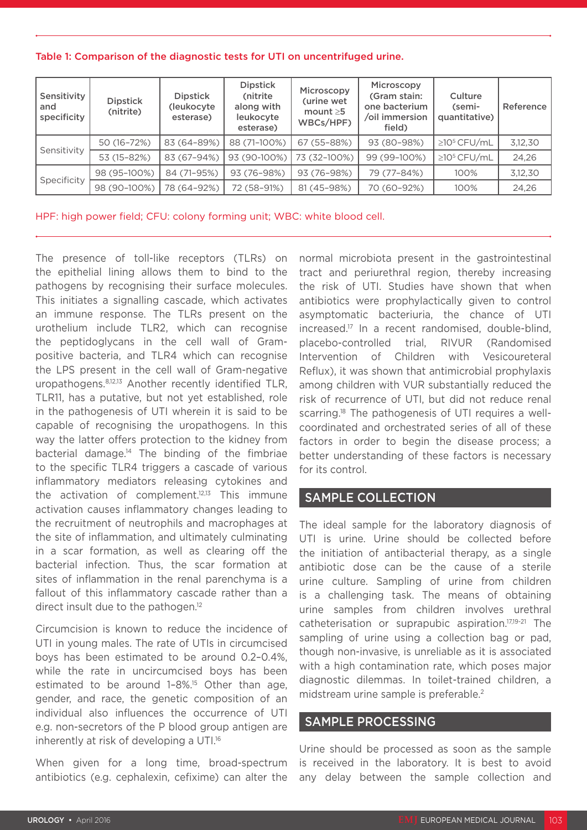| Table 1: Comparison of the diagnostic tests for UTI on uncentrifuged urine. |  |  |  |  |  |  |  |  |
|-----------------------------------------------------------------------------|--|--|--|--|--|--|--|--|
|-----------------------------------------------------------------------------|--|--|--|--|--|--|--|--|

| Sensitivity<br>and<br>specificity | <b>Dipstick</b><br>(nitrite) | <b>Dipstick</b><br>(leukocyte<br>esterase) | <b>Dipstick</b><br>(nitrite<br>along with<br>leukocyte<br>esterase) | Microscopy<br>(urine wet<br>mount $\geq 5$<br>WBCs/HPF) | Microscopy<br>(Gram stain:<br>one bacterium<br>/oil immersion<br>field) | Culture<br>(semi-<br>quantitative) | Reference |
|-----------------------------------|------------------------------|--------------------------------------------|---------------------------------------------------------------------|---------------------------------------------------------|-------------------------------------------------------------------------|------------------------------------|-----------|
| Sensitivity                       | 50 (16-72%)                  | 83 (64-89%)                                | 88 (71-100%)                                                        | 67 (55-88%)                                             | 93 (80-98%)                                                             | $\geq$ 10 <sup>5</sup> CFU/mL      | 3,12,30   |
|                                   | 53 (15-82%)                  | 83 (67-94%)                                | 93 (90-100%)                                                        | 73 (32-100%)                                            | 99 (99-100%)                                                            | $\geq$ 10 <sup>5</sup> CFU/mL      | 24,26     |
| Specificity                       | 98 (95-100%)                 | 84 (71-95%)                                | 93 (76-98%)                                                         | 93 (76-98%)                                             | 79 (77-84%)                                                             | 100%                               | 3,12,30   |
|                                   | 98 (90-100%)                 | 78 (64-92%)                                | 72 (58-91%)                                                         | 81 (45-98%)                                             | 70 (60-92%)                                                             | 100%                               | 24,26     |

HPF: high power field; CFU: colony forming unit; WBC: white blood cell.

The presence of toll-like receptors (TLRs) on the epithelial lining allows them to bind to the pathogens by recognising their surface molecules. This initiates a signalling cascade, which activates an immune response. The TLRs present on the urothelium include TLR2, which can recognise the peptidoglycans in the cell wall of Grampositive bacteria, and TLR4 which can recognise the LPS present in the cell wall of Gram-negative uropathogens.8,12,13 Another recently identified TLR, TLR11, has a putative, but not yet established, role in the pathogenesis of UTI wherein it is said to be capable of recognising the uropathogens. In this way the latter offers protection to the kidney from bacterial damage.14 The binding of the fimbriae to the specific TLR4 triggers a cascade of various inflammatory mediators releasing cytokines and the activation of complement.12,13 This immune activation causes inflammatory changes leading to the recruitment of neutrophils and macrophages at the site of inflammation, and ultimately culminating in a scar formation, as well as clearing off the bacterial infection. Thus, the scar formation at sites of inflammation in the renal parenchyma is a fallout of this inflammatory cascade rather than a direct insult due to the pathogen.<sup>12</sup>

Circumcision is known to reduce the incidence of UTI in young males. The rate of UTIs in circumcised boys has been estimated to be around 0.2–0.4%, while the rate in uncircumcised boys has been estimated to be around 1-8%.<sup>15</sup> Other than age, gender, and race, the genetic composition of an individual also influences the occurrence of UTI e.g. non-secretors of the P blood group antigen are inherently at risk of developing a UTI.<sup>16</sup>

When given for a long time, broad-spectrum antibiotics (e.g. cephalexin, cefixime) can alter the

normal microbiota present in the gastrointestinal tract and periurethral region, thereby increasing the risk of UTI. Studies have shown that when antibiotics were prophylactically given to control asymptomatic bacteriuria, the chance of UTI increased.17 In a recent randomised, double-blind, placebo-controlled trial, RIVUR (Randomised Intervention of Children with Vesicoureteral Reflux), it was shown that antimicrobial prophylaxis among children with VUR substantially reduced the risk of recurrence of UTI, but did not reduce renal scarring.<sup>18</sup> The pathogenesis of UTI requires a wellcoordinated and orchestrated series of all of these factors in order to begin the disease process; a better understanding of these factors is necessary for its control.

#### SAMPLE COLLECTION

The ideal sample for the laboratory diagnosis of UTI is urine. Urine should be collected before the initiation of antibacterial therapy, as a single antibiotic dose can be the cause of a sterile urine culture. Sampling of urine from children is a challenging task. The means of obtaining urine samples from children involves urethral catheterisation or suprapubic aspiration.17,19-21 The sampling of urine using a collection bag or pad, though non-invasive, is unreliable as it is associated with a high contamination rate, which poses major diagnostic dilemmas. In toilet-trained children, a midstream urine sample is preferable.<sup>2</sup>

#### SAMPLE PROCESSING

Urine should be processed as soon as the sample is received in the laboratory. It is best to avoid any delay between the sample collection and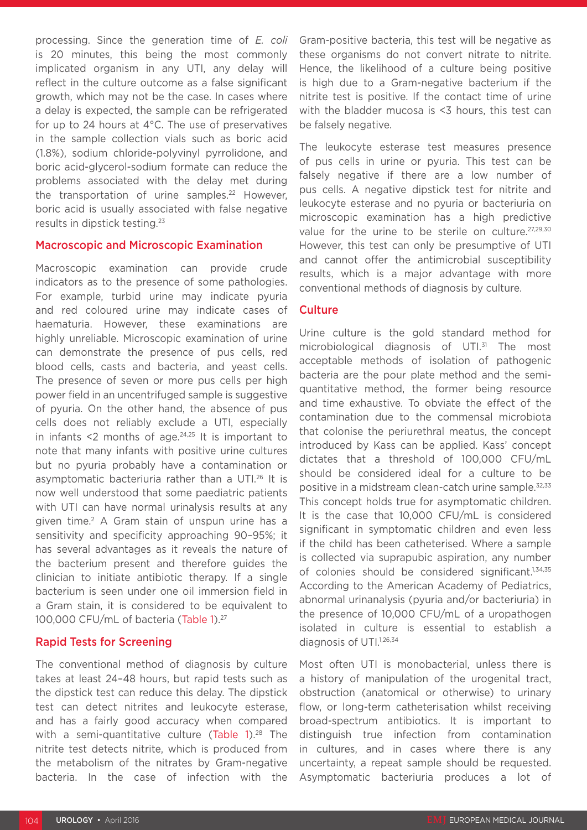processing. Since the generation time of *E. coli* is 20 minutes, this being the most commonly implicated organism in any UTI, any delay will reflect in the culture outcome as a false significant growth, which may not be the case. In cases where a delay is expected, the sample can be refrigerated for up to 24 hours at 4°C. The use of preservatives in the sample collection vials such as boric acid (1.8%), sodium chloride-polyvinyl pyrrolidone, and boric acid-glycerol-sodium formate can reduce the problems associated with the delay met during the transportation of urine samples. $22$  However, boric acid is usually associated with false negative results in dipstick testing.23

#### Macroscopic and Microscopic Examination

Macroscopic examination can provide crude indicators as to the presence of some pathologies. For example, turbid urine may indicate pyuria and red coloured urine may indicate cases of haematuria. However, these examinations are highly unreliable. Microscopic examination of urine can demonstrate the presence of pus cells, red blood cells, casts and bacteria, and yeast cells. The presence of seven or more pus cells per high power field in an uncentrifuged sample is suggestive of pyuria. On the other hand, the absence of pus cells does not reliably exclude a UTI, especially in infants  $\leq 2$  months of age.<sup>24,25</sup> It is important to note that many infants with positive urine cultures but no pyuria probably have a contamination or asymptomatic bacteriuria rather than a UTI.26 It is now well understood that some paediatric patients with UTI can have normal urinalysis results at any given time.<sup>2</sup> A Gram stain of unspun urine has a sensitivity and specificity approaching 90–95%; it has several advantages as it reveals the nature of the bacterium present and therefore guides the clinician to initiate antibiotic therapy. If a single bacterium is seen under one oil immersion field in a Gram stain, it is considered to be equivalent to 100,000 CFU/mL of bacteria (Table 1).<sup>27</sup>

#### Rapid Tests for Screening

The conventional method of diagnosis by culture takes at least 24–48 hours, but rapid tests such as the dipstick test can reduce this delay. The dipstick test can detect nitrites and leukocyte esterase, and has a fairly good accuracy when compared with a semi-quantitative culture (Table  $12^{28}$  The nitrite test detects nitrite, which is produced from the metabolism of the nitrates by Gram-negative bacteria. In the case of infection with the

Gram-positive bacteria, this test will be negative as these organisms do not convert nitrate to nitrite. Hence, the likelihood of a culture being positive is high due to a Gram-negative bacterium if the nitrite test is positive. If the contact time of urine with the bladder mucosa is <3 hours, this test can be falsely negative.

The leukocyte esterase test measures presence of pus cells in urine or pyuria. This test can be falsely negative if there are a low number of pus cells. A negative dipstick test for nitrite and leukocyte esterase and no pyuria or bacteriuria on microscopic examination has a high predictive value for the urine to be sterile on culture.<sup>27,29,30</sup> However, this test can only be presumptive of UTI and cannot offer the antimicrobial susceptibility results, which is a major advantage with more conventional methods of diagnosis by culture.

#### **Culture**

Urine culture is the gold standard method for microbiological diagnosis of UTI.<sup>31</sup> The most acceptable methods of isolation of pathogenic bacteria are the pour plate method and the semiquantitative method, the former being resource and time exhaustive. To obviate the effect of the contamination due to the commensal microbiota that colonise the periurethral meatus, the concept introduced by Kass can be applied. Kass' concept dictates that a threshold of 100,000 CFU/mL should be considered ideal for a culture to be positive in a midstream clean-catch urine sample.<sup>32,33</sup> This concept holds true for asymptomatic children. It is the case that 10,000 CFU/mL is considered significant in symptomatic children and even less if the child has been catheterised. Where a sample is collected via suprapubic aspiration, any number of colonies should be considered significant.<sup>1,34,35</sup> According to the American Academy of Pediatrics, abnormal urinanalysis (pyuria and/or bacteriuria) in the presence of 10,000 CFU/mL of a uropathogen isolated in culture is essential to establish a diagnosis of UTI.<sup>1,26,34</sup>

Most often UTI is monobacterial, unless there is a history of manipulation of the urogenital tract, obstruction (anatomical or otherwise) to urinary flow, or long-term catheterisation whilst receiving broad-spectrum antibiotics. It is important to distinguish true infection from contamination in cultures, and in cases where there is any uncertainty, a repeat sample should be requested. Asymptomatic bacteriuria produces a lot of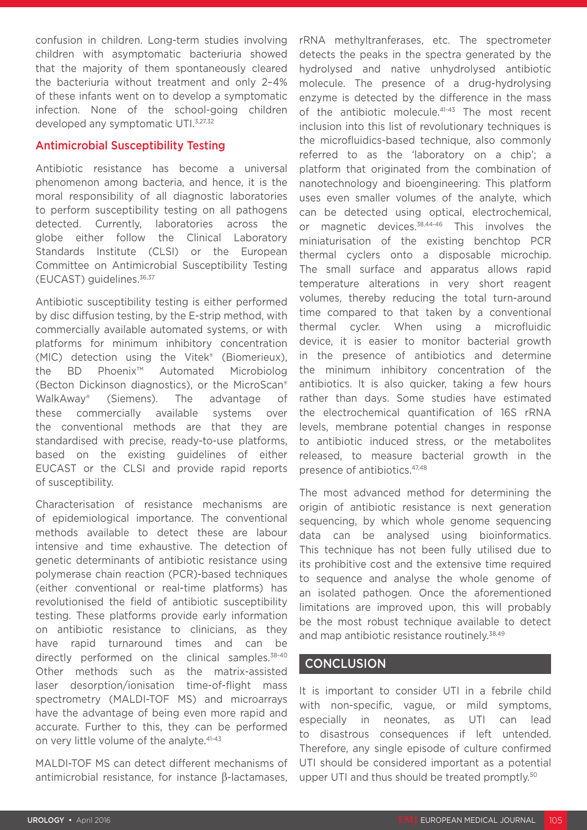confusion in children. Long-term studies involving children with asymptomatic bacteriuria showed that the majority of them spontaneously cleared the bacteriuria without treatment and only 2–4% of these infants went on to develop a symptomatic infection. None of the school-going children developed any symptomatic UTI.<sup>3,27,32</sup>

#### Antimicrobial Susceptibility Testing

Antibiotic resistance has become a universal phenomenon among bacteria, and hence, it is the moral responsibility of all diagnostic laboratories to perform susceptibility testing on all pathogens detected. Currently, laboratories across the globe either follow the Clinical Laboratory Standards Institute (CLSI) or the European Committee on Antimicrobial Susceptibility Testing (EUCAST) guidelines.36,37

Antibiotic susceptibility testing is either performed by disc diffusion testing, by the E-strip method, with commercially available automated systems, or with platforms for minimum inhibitory concentration (MIC) detection using the Vitek® (Biomerieux), the BD Phoenix™ Automated Microbiolog (Becton Dickinson diagnostics), or the MicroScan® WalkAway® (Siemens). The advantage of these commercially available systems over the conventional methods are that they are standardised with precise, ready-to-use platforms, based on the existing guidelines of either EUCAST or the CLSI and provide rapid reports of susceptibility.

Characterisation of resistance mechanisms are of epidemiological importance. The conventional methods available to detect these are labour intensive and time exhaustive. The detection of genetic determinants of antibiotic resistance using polymerase chain reaction (PCR)-based techniques (either conventional or real-time platforms) has revolutionised the field of antibiotic susceptibility testing. These platforms provide early information on antibiotic resistance to clinicians, as they have rapid turnaround times and can be directly performed on the clinical samples.<sup>38-40</sup> Other methods such as the matrix-assisted laser desorption/ionisation time-of-flight mass spectrometry (MALDI-TOF MS) and microarrays have the advantage of being even more rapid and accurate. Further to this, they can be performed on very little volume of the analyte.<sup>41-43</sup>

MALDI-TOF MS can detect different mechanisms of antimicrobial resistance, for instance β-lactamases, rRNA methyltranferases, etc. The spectrometer detects the peaks in the spectra generated by the hydrolysed and native unhydrolysed antibiotic molecule. The presence of a drug-hydrolysing enzyme is detected by the difference in the mass of the antibiotic molecule.<sup>41-43</sup> The most recent inclusion into this list of revolutionary techniques is the microfluidics-based technique, also commonly referred to as the 'laboratory on a chip'; a platform that originated from the combination of nanotechnology and bioengineering. This platform uses even smaller volumes of the analyte, which can be detected using optical, electrochemical, or magnetic devices.<sup>38,44-46</sup> This involves the miniaturisation of the existing benchtop PCR thermal cyclers onto a disposable microchip. The small surface and apparatus allows rapid temperature alterations in very short reagent volumes, thereby reducing the total turn-around time compared to that taken by a conventional thermal cycler. When using a microfluidic device, it is easier to monitor bacterial growth in the presence of antibiotics and determine the minimum inhibitory concentration of the antibiotics. It is also quicker, taking a few hours rather than days. Some studies have estimated the electrochemical quantification of 16S rRNA levels, membrane potential changes in response to antibiotic induced stress, or the metabolites released, to measure bacterial growth in the presence of antibiotics.47,48

The most advanced method for determining the origin of antibiotic resistance is next generation sequencing, by which whole genome sequencing data can be analysed using bioinformatics. This technique has not been fully utilised due to its prohibitive cost and the extensive time required to sequence and analyse the whole genome of an isolated pathogen. Once the aforementioned limitations are improved upon, this will probably be the most robust technique available to detect and map antibiotic resistance routinely.38,49

#### **CONCLUSION**

It is important to consider UTI in a febrile child with non-specific, vague, or mild symptoms, especially in neonates, as UTI can lead to disastrous consequences if left untended. Therefore, any single episode of culture confirmed UTI should be considered important as a potential upper UTI and thus should be treated promptly.50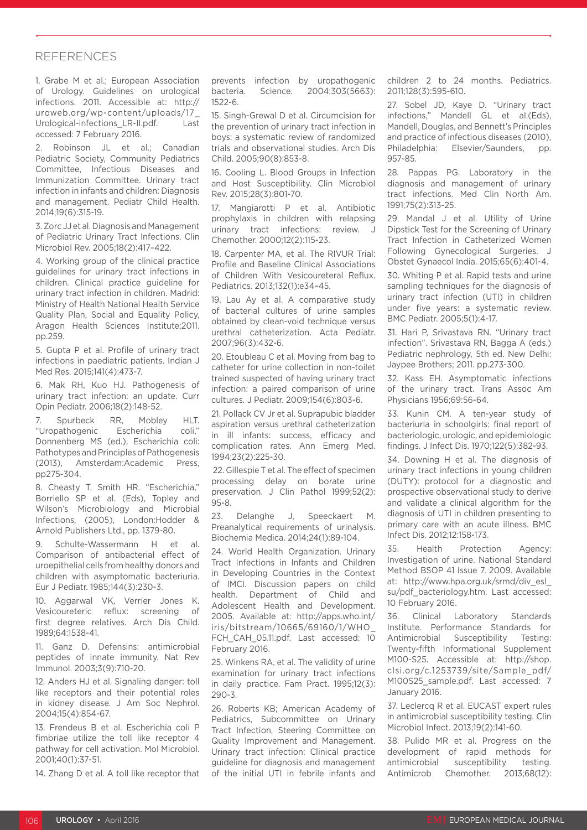#### **REFERENCES**

1. Grabe M et al.; European Association of Urology. Guidelines on urological infections. 2011. Accessible at: http:// uroweb.org/wp-content/uploads/17\_ Urological-infections\_LR-II.pdf. Last accessed: 7 February 2016.

2. Robinson JL et al.: Canadian Pediatric Society, Community Pediatrics Committee, Infectious Diseases and Immunization Committee. Urinary tract infection in infants and children: Diagnosis and management. Pediatr Child Health. 2014;19(6):315-19.

3. Zorc JJ et al. Diagnosis and Management of Pediatric Urinary Tract Infections. Clin Microbiol Rev. 2005;18(2):417–422.

4. Working group of the clinical practice guidelines for urinary tract infections in children. Clinical practice guideline for urinary tract infection in children. Madrid: Ministry of Health National Health Service Quality Plan, Social and Equality Policy, Aragon Health Sciences Institute;2011. pp.259.

5. Gupta P et al. Profile of urinary tract infections in paediatric patients. Indian J Med Res. 2015;141(4):473-7.

6. Mak RH, Kuo HJ. Pathogenesis of urinary tract infection: an update. Curr Opin Pediatr. 2006;18(2):148-52.

7. Spurbeck RR, Mobley HLT. "Uropathogenic Escherichia coli," Donnenberg MS (ed.), Escherichia coli: Pathotypes and Principles of Pathogenesis (2013), Amsterdam:Academic Press, pp275-304.

8. Cheasty T, Smith HR. "Escherichia," Borriello SP et al. (Eds), Topley and Wilson's Microbiology and Microbial Infections, (2005), London:Hodder & Arnold Publishers Ltd., pp. 1379-80.

9. Schulte-Wassermann H et al. Comparison of antibacterial effect of uroepithelial cells from healthy donors and children with asymptomatic bacteriuria. Eur J Pediatr. 1985;144(3):230-3.

10. Aggarwal VK, Verrier Jones K. Vesicoureteric reflux: screening of first degree relatives. Arch Dis Child. 1989;64:1538-41.

11. Ganz D. Defensins: antimicrobial peptides of innate immunity. Nat Rev Immunol. 2003;3(9):710-20.

12. Anders HJ et al. Signaling danger: toll like receptors and their potential roles in kidney disease. J Am Soc Nephrol. 2004;15(4):854-67.

13. Frendeus B et al. Escherichia coli P fimbriae utilize the toll like receptor 4 pathway for cell activation. Mol Microbiol. 2001;40(1):37-51.

14. Zhang D et al. A toll like receptor that

prevents infection by uropathogenic bacteria. Science. 2004;303(5663): 1522-6.

15. Singh-Grewal D et al. Circumcision for the prevention of urinary tract infection in boys: a systematic review of randomized trials and observational studies. Arch Dis Child. 2005;90(8):853-8.

16. Cooling L. Blood Groups in Infection and Host Susceptibility. Clin Microbiol Rev. 2015;28(3):801-70.

17. Mangiarotti P et al. Antibiotic prophylaxis in children with relapsing urinary tract infections: review. Chemother. 2000;12(2):115-23.

18. Carpenter MA, et al. The RIVUR Trial: Profile and Baseline Clinical Associations of Children With Vesicoureteral Reflux. Pediatrics. 2013;132(1):e34–45.

19. Lau Ay et al. A comparative study of bacterial cultures of urine samples obtained by clean-void technique versus urethral catheterization. Acta Pediatr. 2007;96(3):432-6.

20. Etoubleau C et al. Moving from bag to catheter for urine collection in non-toilet trained suspected of having urinary tract infection: a paired comparison of urine cultures. J Pediatr. 2009;154(6):803-6.

21. Pollack CV Jr et al. Suprapubic bladder aspiration versus urethral catheterization in ill infants: success, efficacy and complication rates. Ann Emerg Med. 1994;23(2):225-30.

 22. Gillespie T et al. The effect of specimen processing delay on borate urine preservation. J Clin Pathol 1999;52(2): 95-8.

23. Delanghe J, Speeckaert M. Preanalytical requirements of urinalysis. Biochemia Medica. 2014;24(1):89-104.

24. World Health Organization. Urinary Tract Infections in Infants and Children in Developing Countries in the Context of IMCI. Discussion papers on child health. Department of Child and Adolescent Health and Development. 2005. Available at: http://apps.who.int/ iris/bitstream/10665/69160/1/WHO\_ FCH\_CAH\_05.11.pdf. Last accessed: 10 February 2016.

25. Winkens RA, et al. The validity of urine examination for urinary tract infections in daily practice. Fam Pract. 1995;12(3): 290-3.

26. Roberts KB; American Academy of Pediatrics, Subcommittee on Urinary Tract Infection, Steering Committee on Quality Improvement and Management. Urinary tract infection: Clinical practice guideline for diagnosis and management of the initial UTI in febrile infants and

children 2 to 24 months. Pediatrics. 2011;128(3):595-610.

27. Sobel JD, Kaye D. "Urinary tract infections," Mandell GL et al.(Eds), Mandell, Douglas, and Bennett's Principles and practice of infectious diseases (2010), Philadelphia: Elsevier/Saunders, pp. 957-85.

28. Pappas PG. Laboratory in the diagnosis and management of urinary tract infections. Med Clin North Am. 1991;75(2):313-25.

29. Mandal J et al. Utility of Urine Dipstick Test for the Screening of Urinary Tract Infection in Catheterized Women Following Gynecological Surgeries. J Obstet Gynaecol India. 2015;65(6):401-4.

30. Whiting P et al. Rapid tests and urine sampling techniques for the diagnosis of urinary tract infection (UTI) in children under five years: a systematic review. BMC Pediatr. 2005;5(1):4-17.

31. Hari P, Srivastava RN. "Urinary tract infection". Srivastava RN, Bagga A (eds.) Pediatric nephrology, 5th ed. New Delhi: Jaypee Brothers; 2011. pp.273-300.

32. Kass EH. Asymptomatic infections of the urinary tract. Trans Assoc Am Physicians 1956;69:56-64.

33. Kunin CM. A ten-year study of bacteriuria in schoolgirls: final report of bacteriologic, urologic, and epidemiologic findings. J Infect Dis. 1970;122(5):382-93.

34. Downing H et al. The diagnosis of urinary tract infections in young children (DUTY): protocol for a diagnostic and prospective observational study to derive and validate a clinical algorithm for the diagnosis of UTI in children presenting to primary care with an acute illness. BMC Infect Dis. 2012;12:158-173.

35. Health Protection Agency: Investigation of urine. National Standard Method BSOP 41 Issue 7. 2009. Available at: http://www.hpa.org.uk/srmd/div\_esl\_ su/pdf\_bacteriology.htm. Last accessed: 10 February 2016.

36. Clinical Laboratory Standards Institute. Performance Standards for Antimicrobial Susceptibility Testing: Twenty-fifth Informational Supplement M100-S25. Accessible at: http://shop. clsi.org/c.1253739/site/Sample\_pdf/ M100S25\_sample.pdf. Last accessed: 7 January 2016.

37. Leclercq R et al. EUCAST expert rules in antimicrobial susceptibility testing. Clin Microbiol Infect. 2013;19(2):141-60.

38. Pulido MR et al. Progress on the development of rapid methods for antimicrobial susceptibility testing. Antimicrob Chemother. 2013;68(12):